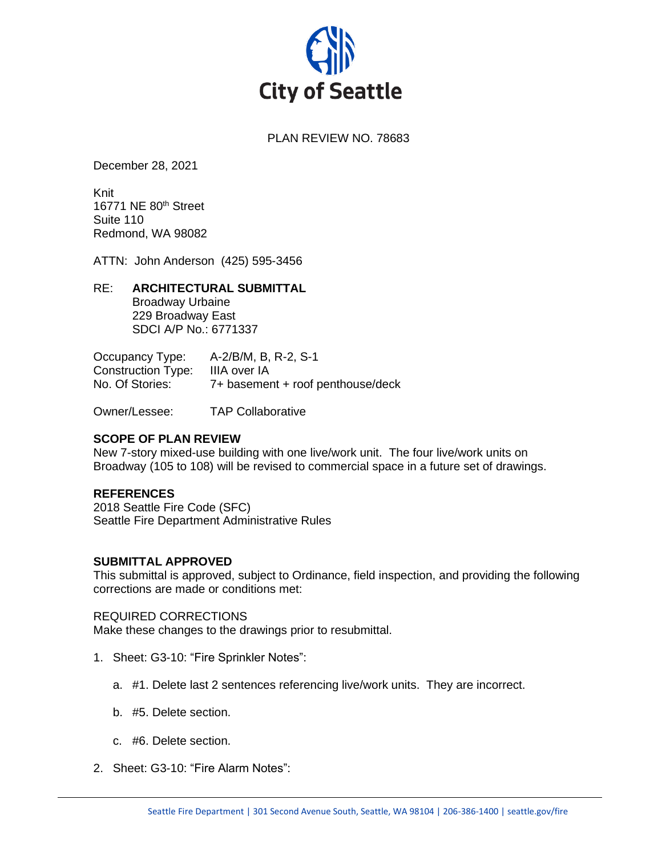

# PLAN REVIEW NO. 78683

December 28, 2021

Knit 16771 NE 80th Street Suite 110 Redmond, WA 98082

ATTN: John Anderson (425) 595-3456

#### RE: **ARCHITECTURAL SUBMITTAL**

Broadway Urbaine 229 Broadway East SDCI A/P No.: 6771337

Occupancy Type: A-2/B/M, B, R-2, S-1 Construction Type: IIIA over IA No. Of Stories: 7+ basement + roof penthouse/deck

Owner/Lessee: TAP Collaborative

# **SCOPE OF PLAN REVIEW**

New 7-story mixed-use building with one live/work unit. The four live/work units on Broadway (105 to 108) will be revised to commercial space in a future set of drawings.

# **REFERENCES**

2018 Seattle Fire Code (SFC) Seattle Fire Department Administrative Rules

#### **SUBMITTAL APPROVED**

This submittal is approved, subject to Ordinance, field inspection, and providing the following corrections are made or conditions met:

#### REQUIRED CORRECTIONS

Make these changes to the drawings prior to resubmittal.

- 1. Sheet: G3-10: "Fire Sprinkler Notes":
	- a. #1. Delete last 2 sentences referencing live/work units. They are incorrect.
	- b. #5. Delete section.
	- c. #6. Delete section.
- 2. Sheet: G3-10: "Fire Alarm Notes":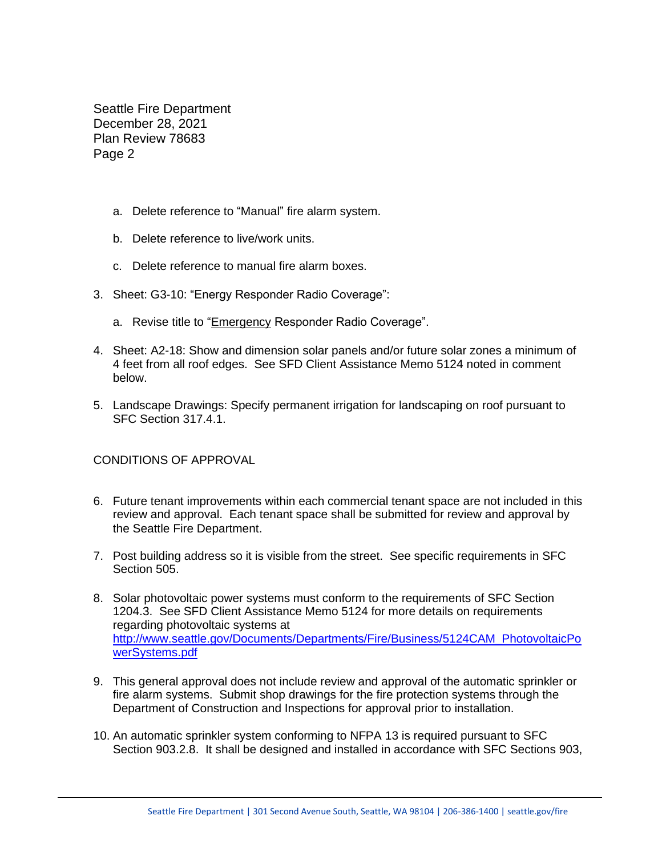- a. Delete reference to "Manual" fire alarm system.
- b. Delete reference to live/work units.
- c. Delete reference to manual fire alarm boxes.
- 3. Sheet: G3-10: "Energy Responder Radio Coverage":
	- a. Revise title to "Emergency Responder Radio Coverage".
- 4. Sheet: A2-18: Show and dimension solar panels and/or future solar zones a minimum of 4 feet from all roof edges. See SFD Client Assistance Memo 5124 noted in comment below.
- 5. Landscape Drawings: Specify permanent irrigation for landscaping on roof pursuant to SFC Section 317.4.1.

CONDITIONS OF APPROVAL

- 6. Future tenant improvements within each commercial tenant space are not included in this review and approval. Each tenant space shall be submitted for review and approval by the Seattle Fire Department.
- 7. Post building address so it is visible from the street. See specific requirements in SFC Section 505.
- 8. Solar photovoltaic power systems must conform to the requirements of SFC Section 1204.3. See SFD Client Assistance Memo 5124 for more details on requirements regarding photovoltaic systems at [http://www.seattle.gov/Documents/Departments/Fire/Business/5124CAM\\_PhotovoltaicPo](http://www.seattle.gov/Documents/Departments/Fire/Business/5124CAM_PhotovoltaicPowerSystems.pdf) [werSystems.pdf](http://www.seattle.gov/Documents/Departments/Fire/Business/5124CAM_PhotovoltaicPowerSystems.pdf)
- 9. This general approval does not include review and approval of the automatic sprinkler or fire alarm systems. Submit shop drawings for the fire protection systems through the Department of Construction and Inspections for approval prior to installation.
- 10. An automatic sprinkler system conforming to NFPA 13 is required pursuant to SFC Section 903.2.8. It shall be designed and installed in accordance with SFC Sections 903,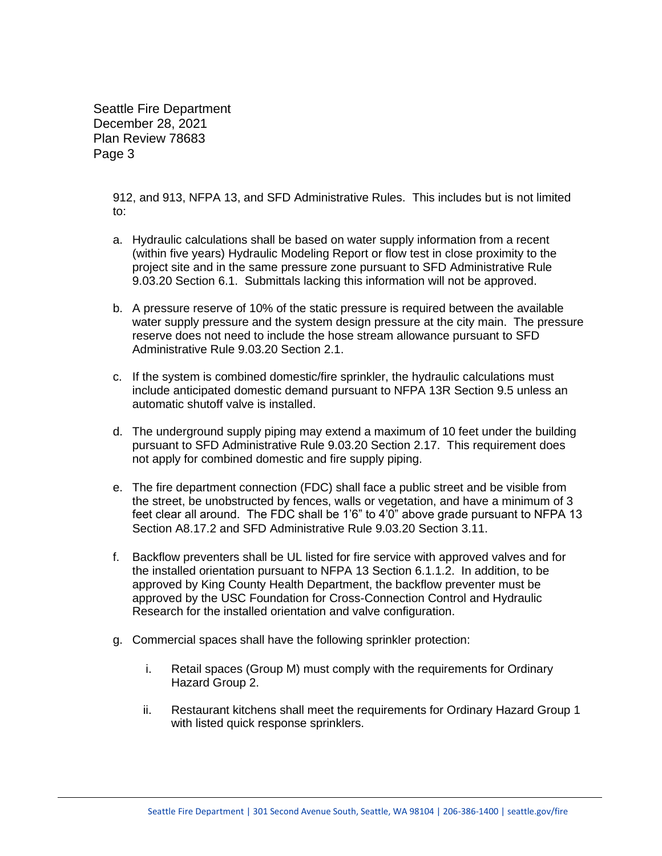> 912, and 913, NFPA 13, and SFD Administrative Rules. This includes but is not limited to:

- a. Hydraulic calculations shall be based on water supply information from a recent (within five years) Hydraulic Modeling Report or flow test in close proximity to the project site and in the same pressure zone pursuant to SFD Administrative Rule 9.03.20 Section 6.1. Submittals lacking this information will not be approved.
- b. A pressure reserve of 10% of the static pressure is required between the available water supply pressure and the system design pressure at the city main. The pressure reserve does not need to include the hose stream allowance pursuant to SFD Administrative Rule 9.03.20 Section 2.1.
- c. If the system is combined domestic/fire sprinkler, the hydraulic calculations must include anticipated domestic demand pursuant to NFPA 13R Section 9.5 unless an automatic shutoff valve is installed.
- d. The underground supply piping may extend a maximum of 10 feet under the building pursuant to SFD Administrative Rule 9.03.20 Section 2.17. This requirement does not apply for combined domestic and fire supply piping.
- e. The fire department connection (FDC) shall face a public street and be visible from the street, be unobstructed by fences, walls or vegetation, and have a minimum of 3 feet clear all around. The FDC shall be 1'6" to 4'0" above grade pursuant to NFPA 13 Section A8.17.2 and SFD Administrative Rule 9.03.20 Section 3.11.
- f. Backflow preventers shall be UL listed for fire service with approved valves and for the installed orientation pursuant to NFPA 13 Section 6.1.1.2. In addition, to be approved by King County Health Department, the backflow preventer must be approved by the USC Foundation for Cross-Connection Control and Hydraulic Research for the installed orientation and valve configuration.
- g. Commercial spaces shall have the following sprinkler protection:
	- i. Retail spaces (Group M) must comply with the requirements for Ordinary Hazard Group 2.
	- ii. Restaurant kitchens shall meet the requirements for Ordinary Hazard Group 1 with listed quick response sprinklers.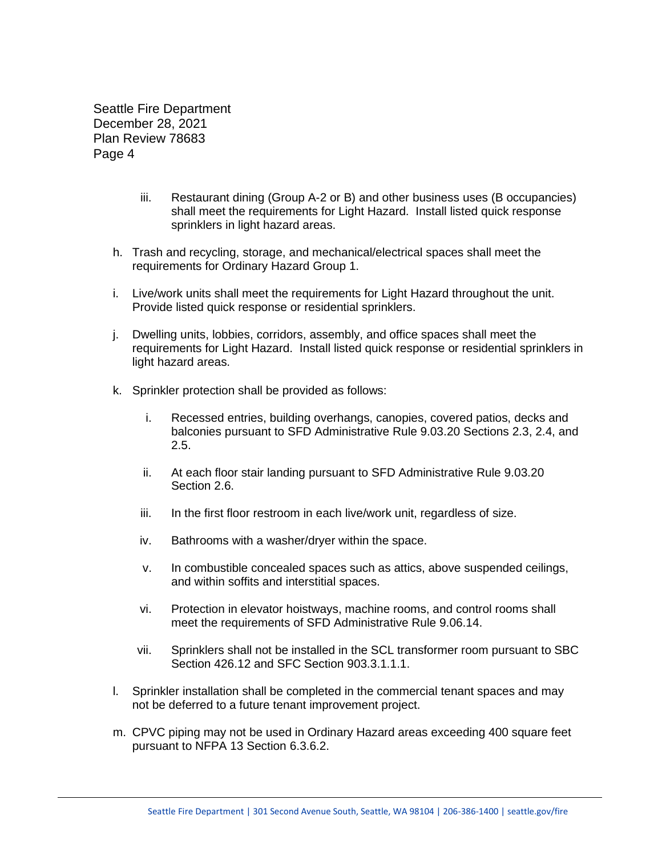- iii. Restaurant dining (Group A-2 or B) and other business uses (B occupancies) shall meet the requirements for Light Hazard. Install listed quick response sprinklers in light hazard areas.
- h. Trash and recycling, storage, and mechanical/electrical spaces shall meet the requirements for Ordinary Hazard Group 1.
- i. Live/work units shall meet the requirements for Light Hazard throughout the unit. Provide listed quick response or residential sprinklers.
- j. Dwelling units, lobbies, corridors, assembly, and office spaces shall meet the requirements for Light Hazard. Install listed quick response or residential sprinklers in light hazard areas.
- k. Sprinkler protection shall be provided as follows:
	- i. Recessed entries, building overhangs, canopies, covered patios, decks and balconies pursuant to SFD Administrative Rule 9.03.20 Sections 2.3, 2.4, and 2.5.
	- ii. At each floor stair landing pursuant to SFD Administrative Rule 9.03.20 Section 2.6.
	- iii. In the first floor restroom in each live/work unit, regardless of size.
	- iv. Bathrooms with a washer/dryer within the space.
	- v. In combustible concealed spaces such as attics, above suspended ceilings, and within soffits and interstitial spaces.
	- vi. Protection in elevator hoistways, machine rooms, and control rooms shall meet the requirements of SFD Administrative Rule 9.06.14.
	- vii. Sprinklers shall not be installed in the SCL transformer room pursuant to SBC Section 426.12 and SFC Section 903.3.1.1.1.
- l. Sprinkler installation shall be completed in the commercial tenant spaces and may not be deferred to a future tenant improvement project.
- m. CPVC piping may not be used in Ordinary Hazard areas exceeding 400 square feet pursuant to NFPA 13 Section 6.3.6.2.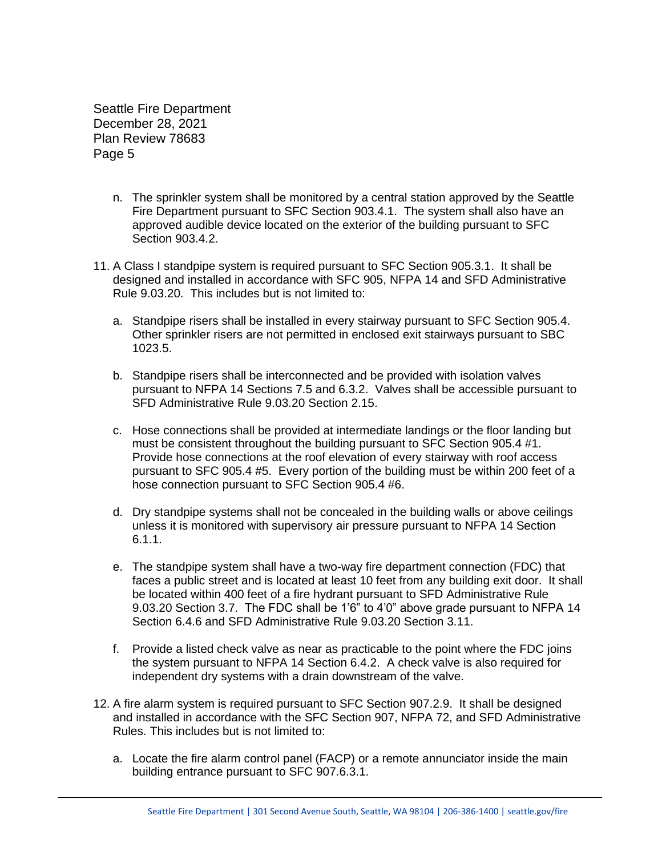- n. The sprinkler system shall be monitored by a central station approved by the Seattle Fire Department pursuant to SFC Section 903.4.1. The system shall also have an approved audible device located on the exterior of the building pursuant to SFC Section 903.4.2.
- 11. A Class I standpipe system is required pursuant to SFC Section 905.3.1. It shall be designed and installed in accordance with SFC 905, NFPA 14 and SFD Administrative Rule 9.03.20. This includes but is not limited to:
	- a. Standpipe risers shall be installed in every stairway pursuant to SFC Section 905.4. Other sprinkler risers are not permitted in enclosed exit stairways pursuant to SBC 1023.5.
	- b. Standpipe risers shall be interconnected and be provided with isolation valves pursuant to NFPA 14 Sections 7.5 and 6.3.2. Valves shall be accessible pursuant to SFD Administrative Rule 9.03.20 Section 2.15.
	- c. Hose connections shall be provided at intermediate landings or the floor landing but must be consistent throughout the building pursuant to SFC Section 905.4 #1. Provide hose connections at the roof elevation of every stairway with roof access pursuant to SFC 905.4 #5. Every portion of the building must be within 200 feet of a hose connection pursuant to SFC Section 905.4 #6.
	- d. Dry standpipe systems shall not be concealed in the building walls or above ceilings unless it is monitored with supervisory air pressure pursuant to NFPA 14 Section 6.1.1.
	- e. The standpipe system shall have a two-way fire department connection (FDC) that faces a public street and is located at least 10 feet from any building exit door. It shall be located within 400 feet of a fire hydrant pursuant to SFD Administrative Rule 9.03.20 Section 3.7. The FDC shall be 1'6" to 4'0" above grade pursuant to NFPA 14 Section 6.4.6 and SFD Administrative Rule 9.03.20 Section 3.11.
	- f. Provide a listed check valve as near as practicable to the point where the FDC joins the system pursuant to NFPA 14 Section 6.4.2. A check valve is also required for independent dry systems with a drain downstream of the valve.
- 12. A fire alarm system is required pursuant to SFC Section 907.2.9. It shall be designed and installed in accordance with the SFC Section 907, NFPA 72, and SFD Administrative Rules. This includes but is not limited to:
	- a. Locate the fire alarm control panel (FACP) or a remote annunciator inside the main building entrance pursuant to SFC 907.6.3.1.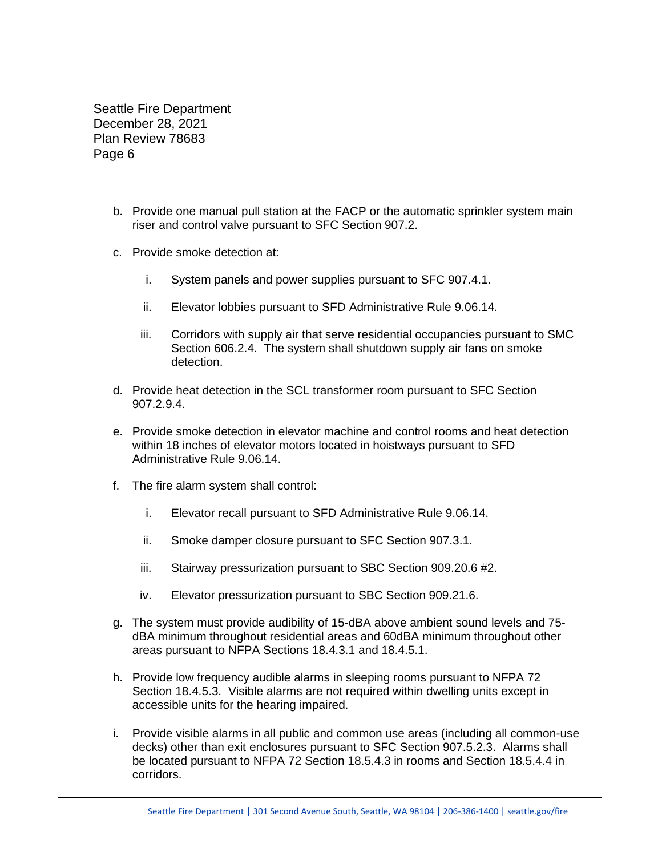- b. Provide one manual pull station at the FACP or the automatic sprinkler system main riser and control valve pursuant to SFC Section 907.2.
- c. Provide smoke detection at:
	- i. System panels and power supplies pursuant to SFC 907.4.1.
	- ii. Elevator lobbies pursuant to SFD Administrative Rule 9.06.14.
	- iii. Corridors with supply air that serve residential occupancies pursuant to SMC Section 606.2.4. The system shall shutdown supply air fans on smoke detection.
- d. Provide heat detection in the SCL transformer room pursuant to SFC Section 907.2.9.4.
- e. Provide smoke detection in elevator machine and control rooms and heat detection within 18 inches of elevator motors located in hoistways pursuant to SFD Administrative Rule 9.06.14.
- f. The fire alarm system shall control:
	- i. Elevator recall pursuant to SFD Administrative Rule 9.06.14.
	- ii. Smoke damper closure pursuant to SFC Section 907.3.1.
	- iii. Stairway pressurization pursuant to SBC Section 909.20.6 #2.
	- iv. Elevator pressurization pursuant to SBC Section 909.21.6.
- g. The system must provide audibility of 15-dBA above ambient sound levels and 75 dBA minimum throughout residential areas and 60dBA minimum throughout other areas pursuant to NFPA Sections 18.4.3.1 and 18.4.5.1.
- h. Provide low frequency audible alarms in sleeping rooms pursuant to NFPA 72 Section 18.4.5.3. Visible alarms are not required within dwelling units except in accessible units for the hearing impaired.
- i. Provide visible alarms in all public and common use areas (including all common-use decks) other than exit enclosures pursuant to SFC Section 907.5.2.3. Alarms shall be located pursuant to NFPA 72 Section 18.5.4.3 in rooms and Section 18.5.4.4 in corridors.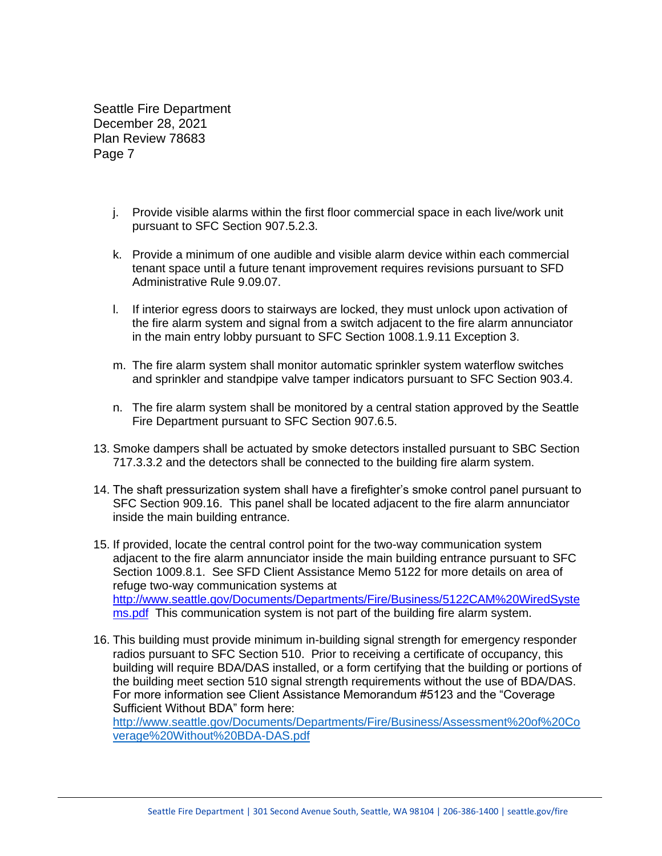- j. Provide visible alarms within the first floor commercial space in each live/work unit pursuant to SFC Section 907.5.2.3.
- k. Provide a minimum of one audible and visible alarm device within each commercial tenant space until a future tenant improvement requires revisions pursuant to SFD Administrative Rule 9.09.07.
- l. If interior egress doors to stairways are locked, they must unlock upon activation of the fire alarm system and signal from a switch adjacent to the fire alarm annunciator in the main entry lobby pursuant to SFC Section 1008.1.9.11 Exception 3.
- m. The fire alarm system shall monitor automatic sprinkler system waterflow switches and sprinkler and standpipe valve tamper indicators pursuant to SFC Section 903.4.
- n. The fire alarm system shall be monitored by a central station approved by the Seattle Fire Department pursuant to SFC Section 907.6.5.
- 13. Smoke dampers shall be actuated by smoke detectors installed pursuant to SBC Section 717.3.3.2 and the detectors shall be connected to the building fire alarm system.
- 14. The shaft pressurization system shall have a firefighter's smoke control panel pursuant to SFC Section 909.16. This panel shall be located adjacent to the fire alarm annunciator inside the main building entrance.
- 15. If provided, locate the central control point for the two-way communication system adjacent to the fire alarm annunciator inside the main building entrance pursuant to SFC Section 1009.8.1. See SFD Client Assistance Memo 5122 for more details on area of refuge two-way communication systems at [http://www.seattle.gov/Documents/Departments/Fire/Business/5122CAM%20WiredSyste](http://www.seattle.gov/Documents/Departments/Fire/Business/5122CAM%20WiredSystems.pdf) [ms.pdf](http://www.seattle.gov/Documents/Departments/Fire/Business/5122CAM%20WiredSystems.pdf) This communication system is not part of the building fire alarm system.
- 16. This building must provide minimum in-building signal strength for emergency responder radios pursuant to SFC Section 510. Prior to receiving a certificate of occupancy, this building will require BDA/DAS installed, or a form certifying that the building or portions of the building meet section 510 signal strength requirements without the use of BDA/DAS. For more information see Client Assistance Memorandum #5123 and the "Coverage Sufficient Without BDA" form here:

[http://www.seattle.gov/Documents/Departments/Fire/Business/Assessment%20of%20Co](http://www.seattle.gov/Documents/Departments/Fire/Business/Assessment%20of%20Coverage%20Without%20BDA-DAS.pdf) [verage%20Without%20BDA-DAS.pdf](http://www.seattle.gov/Documents/Departments/Fire/Business/Assessment%20of%20Coverage%20Without%20BDA-DAS.pdf)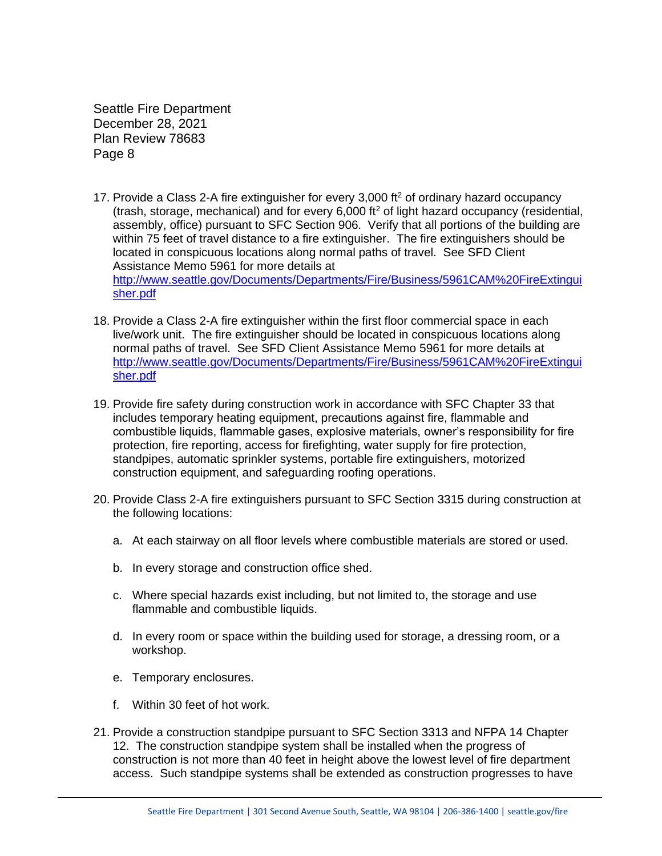- 17. Provide a Class 2-A fire extinguisher for every 3,000  $\mathrm{ft}^2$  of ordinary hazard occupancy (trash, storage, mechanical) and for every 6,000 ft<sup>2</sup> of light hazard occupancy (residential, assembly, office) pursuant to SFC Section 906. Verify that all portions of the building are within 75 feet of travel distance to a fire extinguisher. The fire extinguishers should be located in conspicuous locations along normal paths of travel. See SFD Client Assistance Memo 5961 for more details at [http://www.seattle.gov/Documents/Departments/Fire/Business/5961CAM%20FireExtingui](http://www.seattle.gov/Documents/Departments/Fire/Business/5961CAM%20FireExtinguisher.pdf) [sher.pdf](http://www.seattle.gov/Documents/Departments/Fire/Business/5961CAM%20FireExtinguisher.pdf)
- 18. Provide a Class 2-A fire extinguisher within the first floor commercial space in each live/work unit. The fire extinguisher should be located in conspicuous locations along normal paths of travel. See SFD Client Assistance Memo 5961 for more details at [http://www.seattle.gov/Documents/Departments/Fire/Business/5961CAM%20FireExtingui](http://www.seattle.gov/Documents/Departments/Fire/Business/5961CAM%20FireExtinguisher.pdf) [sher.pdf](http://www.seattle.gov/Documents/Departments/Fire/Business/5961CAM%20FireExtinguisher.pdf)
- 19. Provide fire safety during construction work in accordance with SFC Chapter 33 that includes temporary heating equipment, precautions against fire, flammable and combustible liquids, flammable gases, explosive materials, owner's responsibility for fire protection, fire reporting, access for firefighting, water supply for fire protection, standpipes, automatic sprinkler systems, portable fire extinguishers, motorized construction equipment, and safeguarding roofing operations.
- 20. Provide Class 2-A fire extinguishers pursuant to SFC Section 3315 during construction at the following locations:
	- a. At each stairway on all floor levels where combustible materials are stored or used.
	- b. In every storage and construction office shed.
	- c. Where special hazards exist including, but not limited to, the storage and use flammable and combustible liquids.
	- d. In every room or space within the building used for storage, a dressing room, or a workshop.
	- e. Temporary enclosures.
	- f. Within 30 feet of hot work.
- 21. Provide a construction standpipe pursuant to SFC Section 3313 and NFPA 14 Chapter 12. The construction standpipe system shall be installed when the progress of construction is not more than 40 feet in height above the lowest level of fire department access. Such standpipe systems shall be extended as construction progresses to have